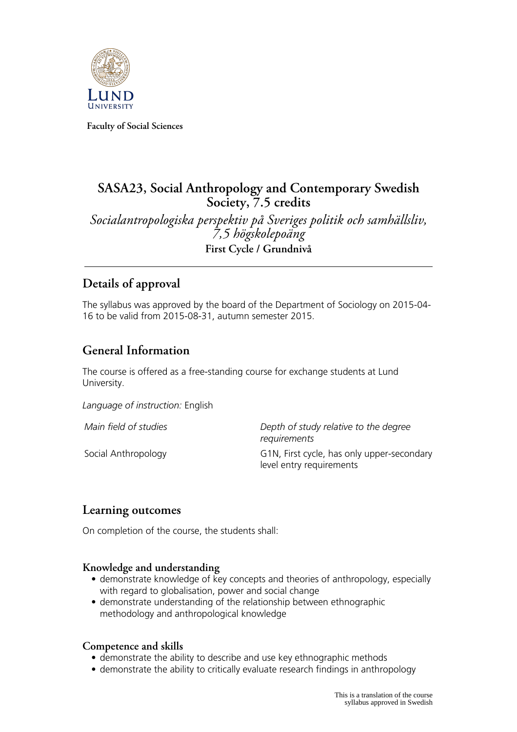

**Faculty of Social Sciences**

# **SASA23, Social Anthropology and Contemporary Swedish Society, 7.5 credits**

*Socialantropologiska perspektiv på Sveriges politik och samhällsliv, 7,5 högskolepoäng* **First Cycle / Grundnivå**

# **Details of approval**

The syllabus was approved by the board of the Department of Sociology on 2015-04- 16 to be valid from 2015-08-31, autumn semester 2015.

# **General Information**

The course is offered as a free-standing course for exchange students at Lund University.

*Language of instruction:* English

*Main field of studies Depth of study relative to the degree requirements* Social Anthropology G1N, First cycle, has only upper-secondary level entry requirements

## **Learning outcomes**

On completion of the course, the students shall:

### **Knowledge and understanding**

- demonstrate knowledge of key concepts and theories of anthropology, especially with regard to globalisation, power and social change
- demonstrate understanding of the relationship between ethnographic methodology and anthropological knowledge

### **Competence and skills**

- demonstrate the ability to describe and use key ethnographic methods
- demonstrate the ability to critically evaluate research findings in anthropology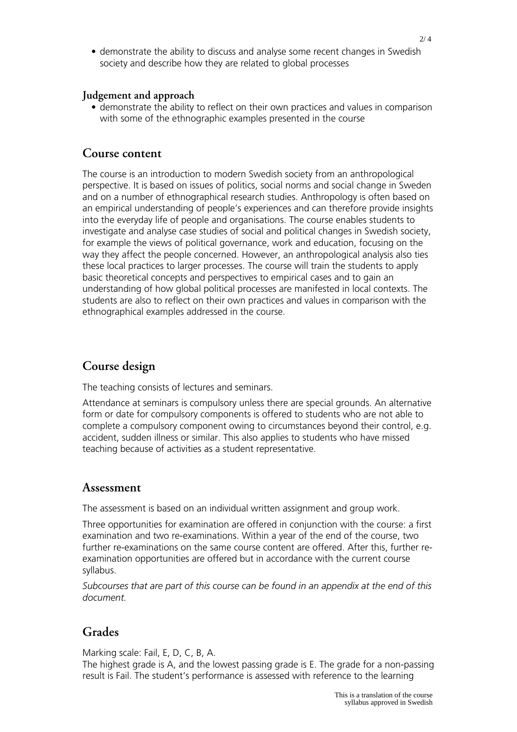• demonstrate the ability to discuss and analyse some recent changes in Swedish society and describe how they are related to global processes

#### **Judgement and approach**

• demonstrate the ability to reflect on their own practices and values in comparison with some of the ethnographic examples presented in the course

### **Course content**

The course is an introduction to modern Swedish society from an anthropological perspective. It is based on issues of politics, social norms and social change in Sweden and on a number of ethnographical research studies. Anthropology is often based on an empirical understanding of people's experiences and can therefore provide insights into the everyday life of people and organisations. The course enables students to investigate and analyse case studies of social and political changes in Swedish society, for example the views of political governance, work and education, focusing on the way they affect the people concerned. However, an anthropological analysis also ties these local practices to larger processes. The course will train the students to apply basic theoretical concepts and perspectives to empirical cases and to gain an understanding of how global political processes are manifested in local contexts. The students are also to reflect on their own practices and values in comparison with the ethnographical examples addressed in the course.

## **Course design**

The teaching consists of lectures and seminars.

Attendance at seminars is compulsory unless there are special grounds. An alternative form or date for compulsory components is offered to students who are not able to complete a compulsory component owing to circumstances beyond their control, e.g. accident, sudden illness or similar. This also applies to students who have missed teaching because of activities as a student representative.

### **Assessment**

The assessment is based on an individual written assignment and group work.

Three opportunities for examination are offered in conjunction with the course: a first examination and two re-examinations. Within a year of the end of the course, two further re-examinations on the same course content are offered. After this, further reexamination opportunities are offered but in accordance with the current course syllabus.

*Subcourses that are part of this course can be found in an appendix at the end of this document.*

# **Grades**

Marking scale: Fail, E, D, C, B, A.

The highest grade is A, and the lowest passing grade is E. The grade for a non-passing result is Fail. The student's performance is assessed with reference to the learning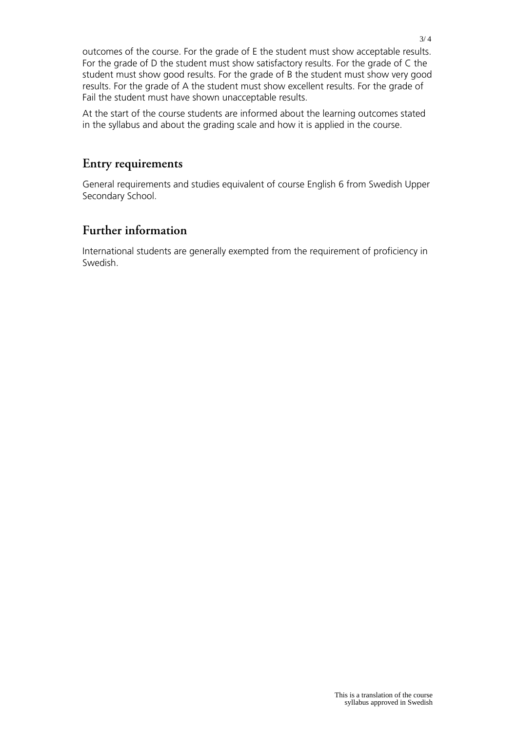outcomes of the course. For the grade of E the student must show acceptable results. For the grade of D the student must show satisfactory results. For the grade of C the student must show good results. For the grade of B the student must show very good results. For the grade of A the student must show excellent results. For the grade of Fail the student must have shown unacceptable results.

At the start of the course students are informed about the learning outcomes stated in the syllabus and about the grading scale and how it is applied in the course.

### **Entry requirements**

General requirements and studies equivalent of course English 6 from Swedish Upper Secondary School.

## **Further information**

International students are generally exempted from the requirement of proficiency in Swedish.